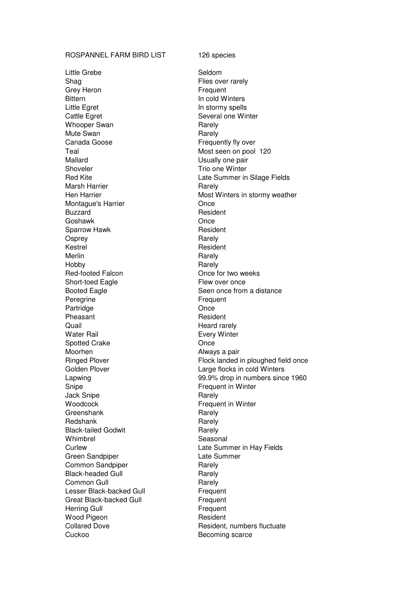## ROSPANNEL FARM BIRD LIST 126 species

Little Grebe Seldom Shag Flies over rarely Grey Heron **Frequent** Bittern **In cold Winters** Little Egret **In stormy spells** Cattle Egret Several one Winter Whooper Swan Rarely Mute Swan **Rarely** Rarely Canada Goose **Figure 1** Frequently fly over Teal Most seen on pool 120 Mallard Usually one pair Shoveler **Trio one Winter** Marsh Harrier **National State Property** Rarely Montague's Harrier **Concernsive Concernsive Concernsive Concernsive Concernsive Concernsive Concernsive Concernsive Concernsive Concernsive Concernsive Concernsive Concernsive Concernsive Concernsive Concernsive Concernsiv** Buzzard Resident Goshawk **Once** Sparrow Hawk **Resident** Osprey **Rarely** Kestrel **Resident** Merlin Rarely Hobby **Rarely** Red-footed Falcon **Calculation** Once for two weeks Short-toed Eagle Flew over once Peregrine Frequent Partridge **Once** Pheasant **Resident** Resident Quail **Contract Contract Contract Contract Contract Contract Contract Contract Contract Contract Contract Contract Contract Contract Contract Contract Contract Contract Contract Contract Contract Contract Contract Contract** Water Rail **Water Rail Every Winter** Spotted Crake **Once** Moorhen Moorhen Always a pair Snipe **Frequent in Winter** Jack Snipe **Rarely** Rarely Woodcock **Frequent in Winter** Greenshank Rarely Redshank Rarely Black-tailed Godwit<br>
Whimbrel<br>
Seaso Green Sandpiper **Late Summer** Common Sandpiper **Rarely** Rarely Black-headed Gull Rarely Common Gull **Rarely** Rarely Lesser Black-backed Gull Frequent Great Black-backed Gull Frequent Herring Gull **Frequent** Wood Pigeon **Resident** Resident Cuckoo Becoming scarce

Red Kite **Late Summer in Silage Fields** Hen Harrier **Most Winters in stormy weather** Most Winters in stormy weather Booted Eagle **Seen once from a distance** Ringed Plover **Flock landed** in ploughed field once Golden Plover **Large flocks** in cold Winters Lapwing 99.9% drop in numbers since 1960 Seasonal Curlew Late Summer in Hay Fields Collared Dove **Resident, numbers fluctuate**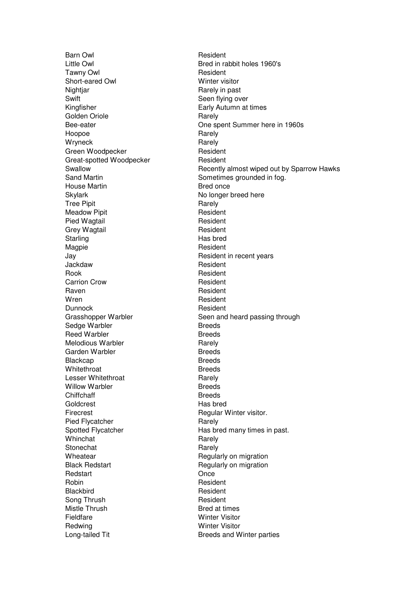Barn Owl **Barn Owl Resident** Little Owl **Example 2018** Bred in rabbit holes 1960's Tawny Owl **Tawns** Owl **Resident** Short-eared Owl Winter visitor Nightjar Rarely in past Swift Swift Seen flying over Kingfisher **Early Autumn at times** Golden Oriole **Rarely** Hoopoe Rarely Wryneck<br>Green Woodpecker<br>Resident Green Woodpecker Great-spotted Woodpecker Resident House Martin **Bred once** Skylark No longer breed here Tree Pipit **Rarely** Rarely Meadow Pipit **Resident** Resident Pied Wagtail **Resident** Grey Wagtail **Resident** Resident Starling **Has bred** Magpie **Magpie** Resident Jay Resident in recent years Jackdaw Resident Rook Resident Carrion Crow **Resident** Raven **Resident** Wren Resident Dunnock **Resident** Sedge Warbler **Breeds** Reed Warbler **Breeds** Melodious Warbler **Rarely** Rarely Garden Warbler **Breeds** Blackcap Breeds Whitethroat Breeds Lesser Whitethroat **Rarely** Rarely Willow Warbler **Breeds** Chiffchaff Breeds Goldcrest **Has bred** Firecrest **Regular Winter visitor.** Pied Flycatcher **Rarely** Rarely Whinchat **Rarely** Stonechat Rarely Wheatear **Regularly on migration** Black Redstart **Regularly on migration** Redstart Christene Christene Christene Christene Christene Christene Christene Christene Christene Christene Christene Christene Christene Christene Christene Christene Christene Christene Christene Christene Christene Chr Robin **Resident** Blackbird **Resident** Song Thrush **Resident** Mistle Thrush Bred at times Fieldfare Winter Visitor Redwing **Winter Visitor** Long-tailed Tit **Breeds** and Winter parties

Bee-eater **Details Exercise Summer here in 1960s** Swallow Recently almost wiped out by Sparrow Hawks Sand Martin Sand Martin Sometimes grounded in fog. Grasshopper Warbler Seen and heard passing through Spotted Flycatcher **Has bred many times in past.**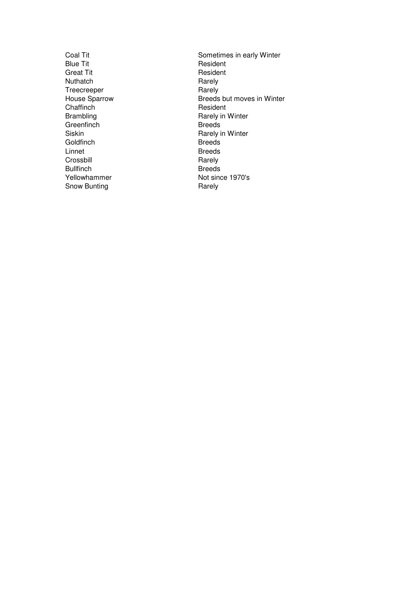Blue Tit Resident<br>Great Tit Resident Nuthatch Rarely<br>Treecreeper Rarely Treecreeper<br>House Sparrow Chaffinch Resident<br>Brambling Rarely in Greenfinch Breeds<br>
Siskin Breeds<br>
Rarely i Goldfinch Breeds<br>
Linnet Breeds Crossbill Bullfinch<br>
Yellowhammer<br>
Yellowhammer<br>
The Breeds<br>
Not since Snow Bunting **Rarely** Rarely

Coal Tit<br>
Blue Tit<br>
Blue Tit<br>
Sometimes in early Winter<br>
Resident Resident<br>Rarely Breeds but moves in Winter Rarely in Winter Rarely in Winter Breeds<br>Rarely Not since 1970's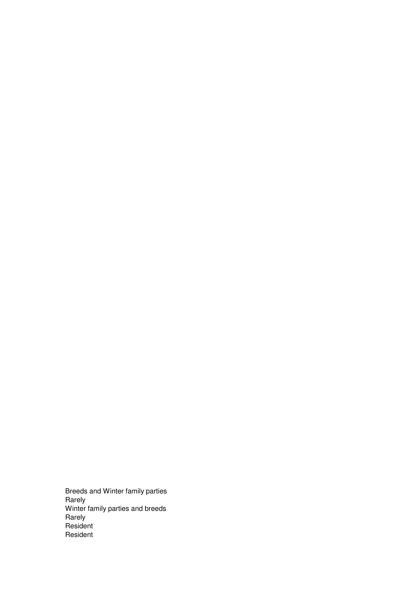Breeds and Winter family parties Rarely Winter family parties and breeds Rarely Resident Resident